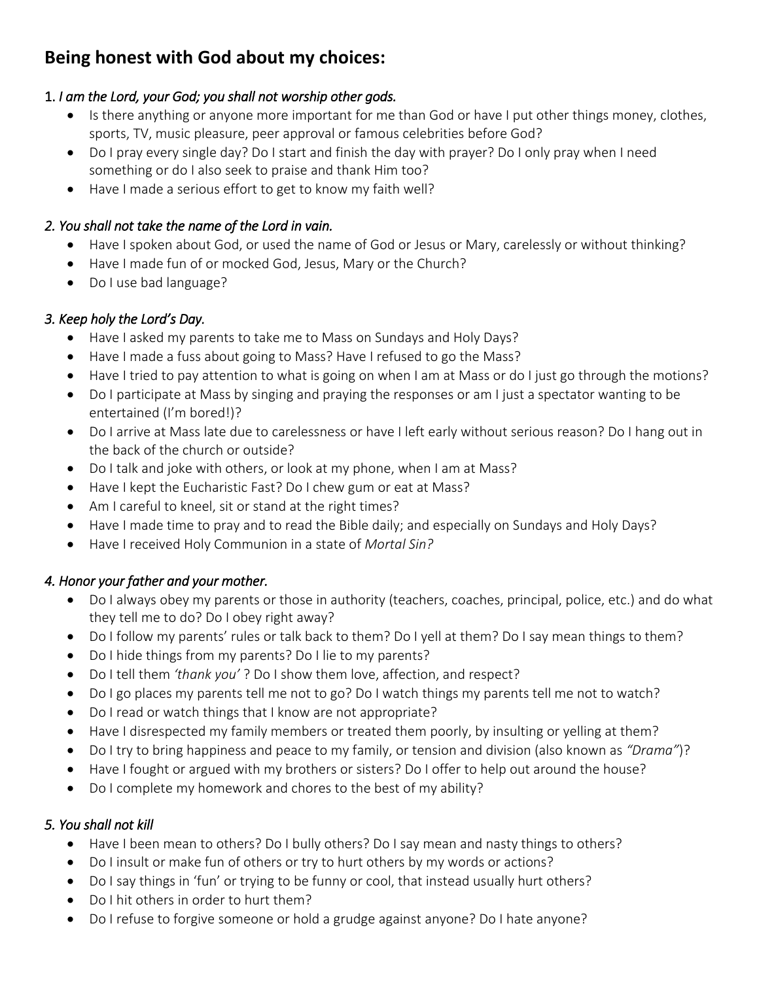# **Being honest with God about my choices:**

# 1. *I am the Lord, your God; you shall not worship other gods.*

- Is there anything or anyone more important for me than God or have I put other things money, clothes, sports, TV, music pleasure, peer approval or famous celebrities before God?
- Do I pray every single day? Do I start and finish the day with prayer? Do I only pray when I need something or do I also seek to praise and thank Him too?
- Have I made a serious effort to get to know my faith well?

## *2. You shall not take the name of the Lord in vain.*

- Have I spoken about God, or used the name of God or Jesus or Mary, carelessly or without thinking?
- Have I made fun of or mocked God, Jesus, Mary or the Church?
- Do I use bad language?

# *3. Keep holy the Lord's Day.*

- Have I asked my parents to take me to Mass on Sundays and Holy Days?
- Have I made a fuss about going to Mass? Have I refused to go the Mass?
- Have I tried to pay attention to what is going on when I am at Mass or do I just go through the motions?
- Do I participate at Mass by singing and praying the responses or am I just a spectator wanting to be entertained (I'm bored!)?
- Do I arrive at Mass late due to carelessness or have I left early without serious reason? Do I hang out in the back of the church or outside?
- Do I talk and joke with others, or look at my phone, when I am at Mass?
- Have I kept the Eucharistic Fast? Do I chew gum or eat at Mass?
- Am I careful to kneel, sit or stand at the right times?
- Have I made time to pray and to read the Bible daily; and especially on Sundays and Holy Days?
- Have I received Holy Communion in a state of *Mortal Sin?*

# *4. Honor your father and your mother.*

- Do I always obey my parents or those in authority (teachers, coaches, principal, police, etc.) and do what they tell me to do? Do I obey right away?
- Do I follow my parents' rules or talk back to them? Do I yell at them? Do I say mean things to them?
- Do I hide things from my parents? Do I lie to my parents?
- Do I tell them *'thank you'* ? Do I show them love, affection, and respect?
- Do I go places my parents tell me not to go? Do I watch things my parents tell me not to watch?
- Do I read or watch things that I know are not appropriate?
- Have I disrespected my family members or treated them poorly, by insulting or yelling at them?
- Do I try to bring happiness and peace to my family, or tension and division (also known as *"Drama"*)?
- Have I fought or argued with my brothers or sisters? Do I offer to help out around the house?
- Do I complete my homework and chores to the best of my ability?

# *5. You shall not kill*

- Have I been mean to others? Do I bully others? Do I say mean and nasty things to others?
- Do I insult or make fun of others or try to hurt others by my words or actions?
- Do I say things in 'fun' or trying to be funny or cool, that instead usually hurt others?
- Do I hit others in order to hurt them?
- Do I refuse to forgive someone or hold a grudge against anyone? Do I hate anyone?